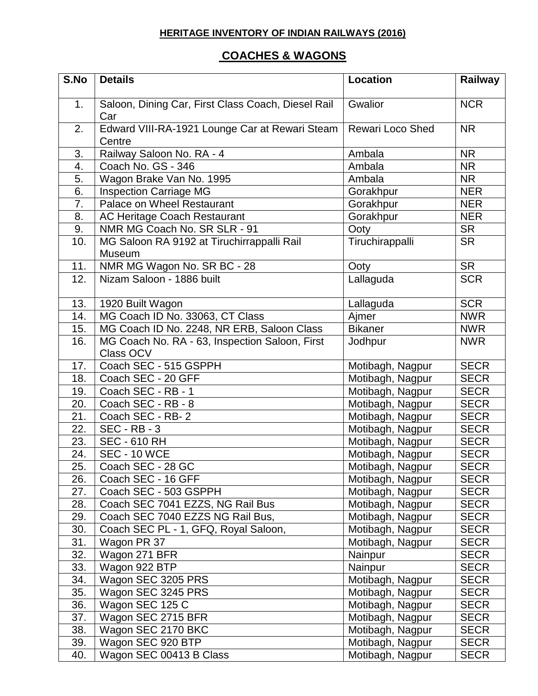## **HERITAGE INVENTORY OF INDIAN RAILWAYS (2016)**

## **COACHES & WAGONS**

| S.No | <b>Details</b>                                              | <b>Location</b>         | Railway     |
|------|-------------------------------------------------------------|-------------------------|-------------|
| 1.   | Saloon, Dining Car, First Class Coach, Diesel Rail<br>Car   | Gwalior                 | <b>NCR</b>  |
| 2.   | Edward VIII-RA-1921 Lounge Car at Rewari Steam<br>Centre    | <b>Rewari Loco Shed</b> | <b>NR</b>   |
| 3.   | Railway Saloon No. RA - 4                                   | Ambala                  | <b>NR</b>   |
| 4.   | Coach No. GS - 346                                          | Ambala                  | <b>NR</b>   |
| 5.   | Wagon Brake Van No. 1995                                    | Ambala                  | <b>NR</b>   |
| 6.   | <b>Inspection Carriage MG</b>                               | Gorakhpur               | <b>NER</b>  |
| 7.   | Palace on Wheel Restaurant                                  | Gorakhpur               | <b>NER</b>  |
| 8.   | AC Heritage Coach Restaurant                                | Gorakhpur               | <b>NER</b>  |
| 9.   | NMR MG Coach No. SR SLR - 91                                | Ooty                    | <b>SR</b>   |
| 10.  | MG Saloon RA 9192 at Tiruchirrappalli Rail<br><b>Museum</b> | Tiruchirappalli         | <b>SR</b>   |
| 11.  | NMR MG Wagon No. SR BC - 28                                 | Ooty                    | <b>SR</b>   |
| 12.  | Nizam Saloon - 1886 built                                   | Lallaguda               | <b>SCR</b>  |
| 13.  | 1920 Built Wagon                                            | Lallaguda               | <b>SCR</b>  |
| 14.  | MG Coach ID No. 33063, CT Class                             | Aimer                   | <b>NWR</b>  |
| 15.  | MG Coach ID No. 2248, NR ERB, Saloon Class                  | <b>Bikaner</b>          | <b>NWR</b>  |
| 16.  | MG Coach No. RA - 63, Inspection Saloon, First<br>Class OCV | Jodhpur                 | <b>NWR</b>  |
| 17.  | Coach SEC - 515 GSPPH                                       | Motibagh, Nagpur        | <b>SECR</b> |
| 18.  | Coach SEC - 20 GFF                                          | Motibagh, Nagpur        | <b>SECR</b> |
| 19.  | Coach SEC - RB - 1                                          | Motibagh, Nagpur        | <b>SECR</b> |
| 20.  | Coach SEC - RB - 8                                          | Motibagh, Nagpur        | <b>SECR</b> |
| 21.  | Coach SEC - RB-2                                            | Motibagh, Nagpur        | <b>SECR</b> |
| 22.  | $\overline{\text{SEC}}$ - RB - 3                            | Motibagh, Nagpur        | <b>SECR</b> |
| 23.  | <b>SEC - 610 RH</b>                                         | Motibagh, Nagpur        | <b>SECR</b> |
| 24.  | <b>SEC - 10 WCE</b>                                         | Motibagh, Nagpur        | <b>SECR</b> |
| 25.  | Coach SEC - 28 GC                                           | Motibagh, Nagpur        | <b>SECR</b> |
| 26.  | Coach SEC - 16 GFF                                          | Motibagh, Nagpur        | <b>SECR</b> |
| 27.  | Coach SEC - 503 GSPPH                                       | Motibagh, Nagpur        | <b>SECR</b> |
| 28.  | Coach SEC 7041 EZZS, NG Rail Bus                            | Motibagh, Nagpur        | <b>SECR</b> |
| 29.  | Coach SEC 7040 EZZS NG Rail Bus,                            | Motibagh, Nagpur        | <b>SECR</b> |
| 30.  | Coach SEC PL - 1, GFQ, Royal Saloon,                        | Motibagh, Nagpur        | <b>SECR</b> |
| 31.  | Wagon PR 37                                                 | Motibagh, Nagpur        | <b>SECR</b> |
| 32.  | Wagon 271 BFR                                               | Nainpur                 | <b>SECR</b> |
| 33.  | Wagon 922 BTP                                               | Nainpur                 | <b>SECR</b> |
| 34.  | Wagon SEC 3205 PRS                                          | Motibagh, Nagpur        | <b>SECR</b> |
| 35.  | Wagon SEC 3245 PRS                                          | Motibagh, Nagpur        | <b>SECR</b> |
| 36.  | Wagon SEC 125 C                                             | Motibagh, Nagpur        | <b>SECR</b> |
| 37.  | Wagon SEC 2715 BFR                                          | Motibagh, Nagpur        | <b>SECR</b> |
| 38.  | Wagon SEC 2170 BKC                                          | Motibagh, Nagpur        | <b>SECR</b> |
| 39.  | Wagon SEC 920 BTP                                           | Motibagh, Nagpur        | <b>SECR</b> |
| 40.  | Wagon SEC 00413 B Class                                     | Motibagh, Nagpur        | <b>SECR</b> |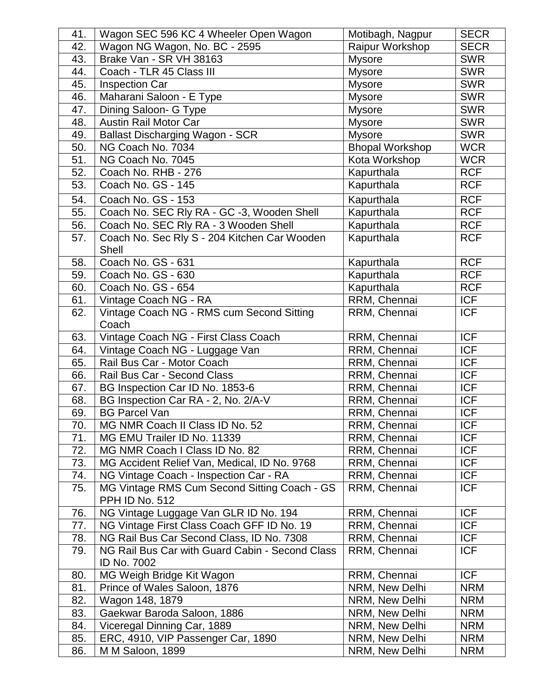| 41. | Wagon SEC 596 KC 4 Wheeler Open Wagon                          | Motibagh, Nagpur       | <b>SECR</b> |
|-----|----------------------------------------------------------------|------------------------|-------------|
| 42. | Wagon NG Wagon, No. BC - 2595                                  | Raipur Workshop        | <b>SECR</b> |
| 43. | Brake Van - SR VH 38163                                        | <b>Mysore</b>          | <b>SWR</b>  |
| 44. | Coach - TLR 45 Class III                                       | Mysore                 | <b>SWR</b>  |
| 45. | <b>Inspection Car</b>                                          | <b>Mysore</b>          | <b>SWR</b>  |
| 46. | Maharani Saloon - E Type                                       | <b>Mysore</b>          | <b>SWR</b>  |
| 47. | Dining Saloon- G Type                                          | <b>Mysore</b>          | <b>SWR</b>  |
| 48. | <b>Austin Rail Motor Car</b>                                   | <b>Mysore</b>          | <b>SWR</b>  |
| 49. | <b>Ballast Discharging Wagon - SCR</b>                         | <b>Mysore</b>          | <b>SWR</b>  |
| 50. | NG Coach No. 7034                                              | <b>Bhopal Workshop</b> | <b>WCR</b>  |
| 51. | NG Coach No. 7045                                              | Kota Workshop          | <b>WCR</b>  |
| 52. | Coach No. RHB - 276                                            | Kapurthala             | <b>RCF</b>  |
| 53. | Coach No. GS - 145                                             | Kapurthala             | <b>RCF</b>  |
| 54. | Coach No. GS - 153                                             | Kapurthala             | <b>RCF</b>  |
| 55. | Coach No. SEC Rly RA - GC -3, Wooden Shell                     | Kapurthala             | <b>RCF</b>  |
| 56. | Coach No. SEC Rly RA - 3 Wooden Shell                          | Kapurthala             | <b>RCF</b>  |
| 57. | Coach No. Sec Rly S - 204 Kitchen Car Wooden<br>Shell          | Kapurthala             | <b>RCF</b>  |
| 58. | Coach No. GS - 631                                             | Kapurthala             | <b>RCF</b>  |
| 59. | Coach No. GS - 630                                             | Kapurthala             | <b>RCF</b>  |
| 60. | Coach No. GS - 654                                             | Kapurthala             | <b>RCF</b>  |
| 61. | Vintage Coach NG - RA                                          | RRM, Chennai           | <b>ICF</b>  |
| 62. | Vintage Coach NG - RMS cum Second Sitting<br>Coach             | RRM, Chennai           | <b>ICF</b>  |
| 63. | Vintage Coach NG - First Class Coach                           | RRM, Chennai           | <b>ICF</b>  |
| 64. | Vintage Coach NG - Luggage Van                                 | RRM, Chennai           | <b>ICF</b>  |
| 65. | Rail Bus Car - Motor Coach                                     | RRM, Chennai           | <b>ICF</b>  |
| 66. | Rail Bus Car - Second Class                                    | RRM, Chennai           | <b>ICF</b>  |
| 67. | BG Inspection Car ID No. 1853-6                                | RRM, Chennai           | <b>ICF</b>  |
| 68. | BG Inspection Car RA - 2, No. 2/A-V                            | RRM, Chennai           | <b>ICF</b>  |
| 69. | <b>BG Parcel Van</b>                                           | RRM, Chennai           | <b>ICF</b>  |
| 70. | MG NMR Coach II Class ID No. 52                                | RRM, Chennai           | ICF         |
| 71. | MG EMU Trailer ID No. 11339                                    | RRM, Chennai           | <b>ICF</b>  |
| 72. | MG NMR Coach I Class ID No. 82                                 | RRM, Chennai           | <b>ICF</b>  |
| 73. | MG Accident Relief Van, Medical, ID No. 9768                   | RRM, Chennai           | <b>ICF</b>  |
| 74. | NG Vintage Coach - Inspection Car - RA                         | RRM, Chennai           | <b>ICF</b>  |
| 75. | MG Vintage RMS Cum Second Sitting Coach - GS<br>PPH ID No. 512 | RRM, Chennai           | <b>ICF</b>  |
| 76. | NG Vintage Luggage Van GLR ID No. 194                          | RRM, Chennai           | <b>ICF</b>  |
| 77. | NG Vintage First Class Coach GFF ID No. 19                     | RRM, Chennai           | <b>ICF</b>  |
| 78. | NG Rail Bus Car Second Class, ID No. 7308                      | RRM, Chennai           | <b>ICF</b>  |
| 79. | NG Rail Bus Car with Guard Cabin - Second Class<br>ID No. 7002 | RRM, Chennai           | <b>ICF</b>  |
| 80. | MG Weigh Bridge Kit Wagon                                      | RRM, Chennai           | <b>ICF</b>  |
| 81. | Prince of Wales Saloon, 1876                                   | NRM, New Delhi         | <b>NRM</b>  |
| 82. | Wagon 148, 1879                                                | NRM, New Delhi         | <b>NRM</b>  |
| 83. | Gaekwar Baroda Saloon, 1886                                    | NRM, New Delhi         | <b>NRM</b>  |
| 84. | Viceregal Dinning Car, 1889                                    | NRM, New Delhi         | <b>NRM</b>  |
| 85. | ERC, 4910, VIP Passenger Car, 1890                             | NRM, New Delhi         | <b>NRM</b>  |
| 86. | M M Saloon, 1899                                               | NRM, New Delhi         | <b>NRM</b>  |